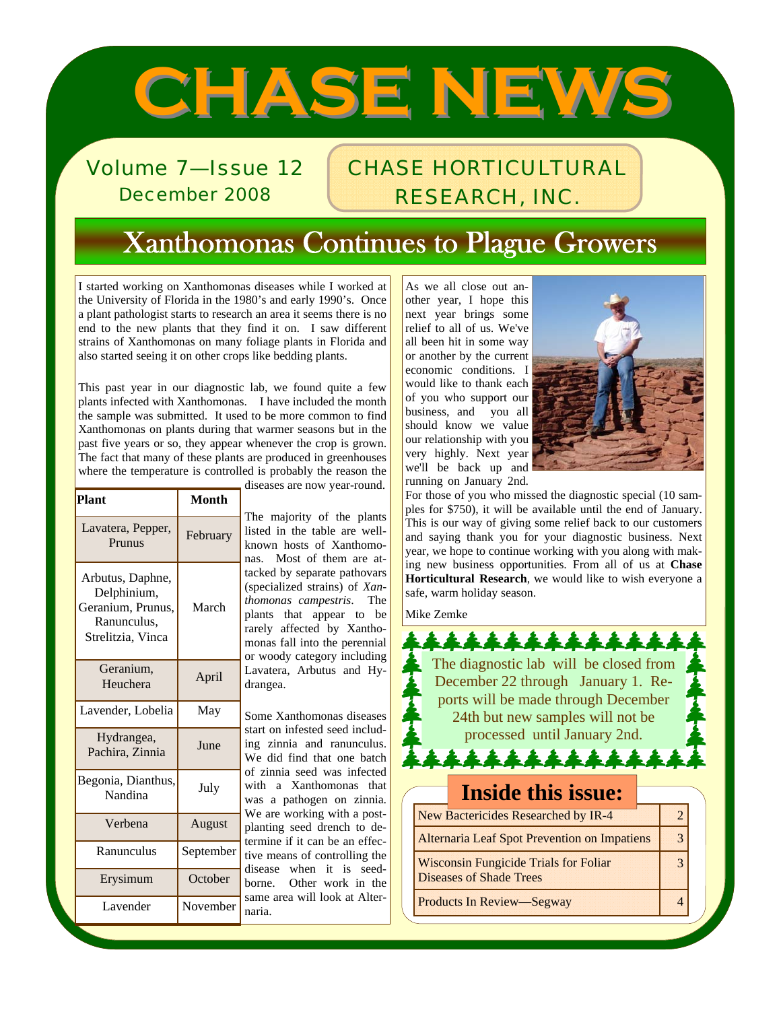# **CHASE NEWS CHASE NEWS**

Volume 7—Issue 12 December 2008

### CHASE HORTICULTURAL RESEARCH, INC.

# Xanthomonas Continues to Plague Growers

I started working on Xanthomonas diseases while I worked at the University of Florida in the 1980's and early 1990's. Once a plant pathologist starts to research an area it seems there is no end to the new plants that they find it on. I saw different strains of Xanthomonas on many foliage plants in Florida and also started seeing it on other crops like bedding plants.

This past year in our diagnostic lab, we found quite a few plants infected with Xanthomonas. I have included the month the sample was submitted. It used to be more common to find Xanthomonas on plants during that warmer seasons but in the past five years or so, they appear whenever the crop is grown. The fact that many of these plants are produced in greenhouses where the temperature is controlled is probably the reason the

|                                                                                          |              | diseases are now year-round.                                                                                                                                                                                                                                                                                                                                                               |  |  |  |
|------------------------------------------------------------------------------------------|--------------|--------------------------------------------------------------------------------------------------------------------------------------------------------------------------------------------------------------------------------------------------------------------------------------------------------------------------------------------------------------------------------------------|--|--|--|
| Plant                                                                                    | <b>Month</b> |                                                                                                                                                                                                                                                                                                                                                                                            |  |  |  |
| Lavatera, Pepper,<br>Prunus                                                              | February     | The majority of the plants<br>listed in the table are well-<br>known hosts of Xanthomo-<br>Most of them are at-<br>nas.<br>tacked by separate pathovars<br>(specialized strains) of Xan-<br>thomonas campestris.<br>The<br>plants that appear to be<br>rarely affected by Xantho-<br>monas fall into the perennial<br>or woody category including<br>Lavatera, Arbutus and Hy-<br>drangea. |  |  |  |
| Arbutus, Daphne,<br>Delphinium,<br>Geranium, Prunus,<br>Ranunculus,<br>Strelitzia, Vinca | March        |                                                                                                                                                                                                                                                                                                                                                                                            |  |  |  |
| Geranium,<br>Heuchera                                                                    | April        |                                                                                                                                                                                                                                                                                                                                                                                            |  |  |  |
| Lavender, Lobelia                                                                        | May          | Some Xanthomonas diseases                                                                                                                                                                                                                                                                                                                                                                  |  |  |  |
| Hydrangea,<br>Pachira, Zinnia                                                            | June         | start on infested seed includ-<br>ing zinnia and ranunculus.<br>We did find that one batch                                                                                                                                                                                                                                                                                                 |  |  |  |
| Begonia, Dianthus,<br>Nandina                                                            | July         | of zinnia seed was infected<br>with a Xanthomonas that<br>was a pathogen on zinnia.<br>We are working with a post-                                                                                                                                                                                                                                                                         |  |  |  |
| Verbena                                                                                  | August       | planting seed drench to de-<br>termine if it can be an effec-                                                                                                                                                                                                                                                                                                                              |  |  |  |
| Ranunculus                                                                               | September    | tive means of controlling the                                                                                                                                                                                                                                                                                                                                                              |  |  |  |
| Erysimum                                                                                 | October      | when it is seed-<br>disease<br>Other work in the<br>borne.                                                                                                                                                                                                                                                                                                                                 |  |  |  |
| Lavender                                                                                 | November     | same area will look at Alter-<br>naria.                                                                                                                                                                                                                                                                                                                                                    |  |  |  |

As we all close out another year, I hope this next year brings some relief to all of us. We've all been hit in some way or another by the current economic conditions. I would like to thank each of you who support our business, and you all should know we value our relationship with you very highly. Next year we'll be back up and running on January 2nd.



For those of you who missed the diagnostic special (10 samples for \$750), it will be available until the end of January. This is our way of giving some relief back to our customers and saying thank you for your diagnostic business. Next year, we hope to continue working with you along with making new business opportunities. From all of us at **Chase Horticultural Research**, we would like to wish everyone a safe, warm holiday season.

Mike Zemke

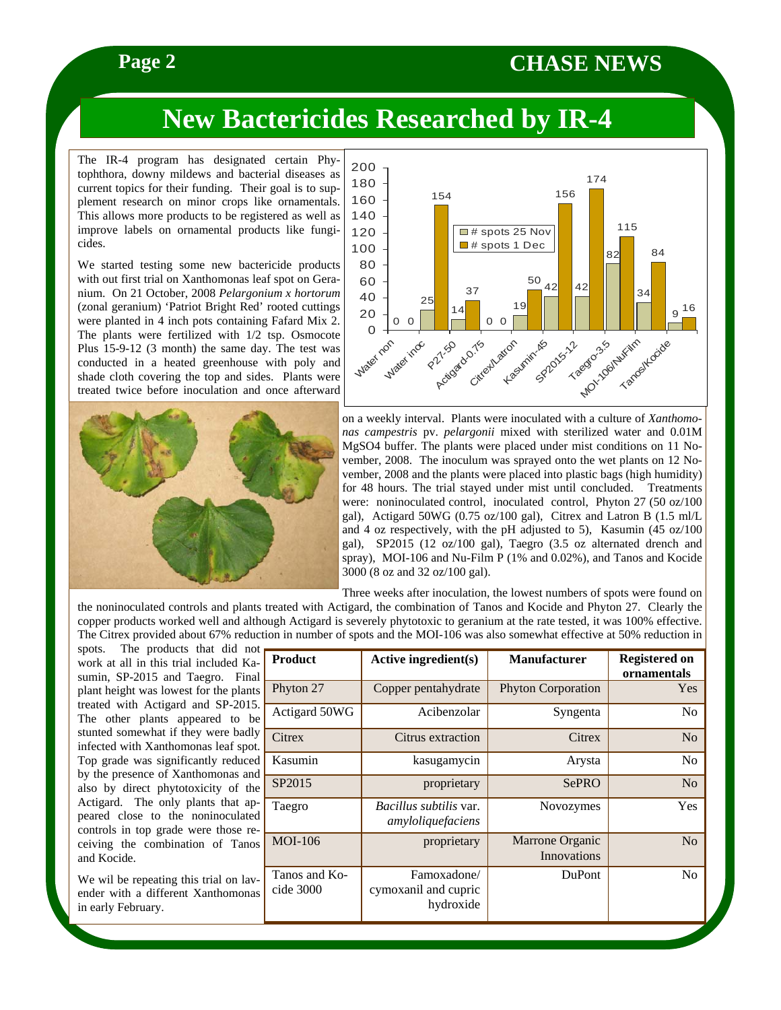### **Page 2** CHASE NEWS

## **New Bactericides Researched by IR-4**

The IR-4 program has designated certain Phytophthora, downy mildews and bacterial diseases as current topics for their funding. Their goal is to supplement research on minor crops like ornamentals. This allows more products to be registered as well as improve labels on ornamental products like fungicides.

We started testing some new bactericide products with out first trial on Xanthomonas leaf spot on Geranium. On 21 October, 2008 *Pelargonium x hortorum*  (zonal geranium) 'Patriot Bright Red' rooted cuttings were planted in 4 inch pots containing Fafard Mix 2. The plants were fertilized with 1/2 tsp. Osmocote Plus 15-9-12 (3 month) the same day. The test was conducted in a heated greenhouse with poly and shade cloth covering the top and sides. Plants were treated twice before inoculation and once afterward





on a weekly interval. Plants were inoculated with a culture of *Xanthomonas campestris* pv. *pelargonii* mixed with sterilized water and 0.01M MgSO4 buffer. The plants were placed under mist conditions on 11 November, 2008. The inoculum was sprayed onto the wet plants on 12 November, 2008 and the plants were placed into plastic bags (high humidity) for 48 hours. The trial stayed under mist until concluded. Treatments were: noninoculated control, inoculated control, Phyton 27 (50 oz/100 gal), Actigard 50WG (0.75 oz/100 gal), Citrex and Latron B (1.5 ml/L and 4 oz respectively, with the pH adjusted to 5), Kasumin (45 oz/100 gal), SP2015 (12 oz/100 gal), Taegro (3.5 oz alternated drench and spray), MOI-106 and Nu-Film P (1% and 0.02%), and Tanos and Kocide 3000 (8 oz and 32 oz/100 gal).

Three weeks after inoculation, the lowest numbers of spots were found on

the noninoculated controls and plants treated with Actigard, the combination of Tanos and Kocide and Phyton 27. Clearly the copper products worked well and although Actigard is severely phytotoxic to geranium at the rate tested, it was 100% effective. The Citrex provided about 67% reduction in number of spots and the MOI-106 was also somewhat effective at 50% reduction in

spots. The products that did not work at all in this trial included Kasumin, SP-2015 and Taegro. Final plant height was lowest for the plants treated with Actigard and SP-2015. The other plants appeared to be stunted somewhat if they were badly infected with Xanthomonas leaf spot. Top grade was significantly reduced by the presence of Xanthomonas and also by direct phytotoxicity of the Actigard. The only plants that appeared close to the noninoculated controls in top grade were those receiving the combination of Tanos and Kocide.

We wil be repeating this trial on lavender with a different Xanthomonas in early February.

| <b>Product</b>             | <b>Active ingredient(s)</b>                        | <b>Manufacturer</b>            | <b>Registered on</b><br>ornamentals |
|----------------------------|----------------------------------------------------|--------------------------------|-------------------------------------|
| Phyton 27                  | Copper pentahydrate                                | <b>Phyton Corporation</b>      | Yes                                 |
| Actigard 50WG              | Acibenzolar                                        | Syngenta                       | N <sub>0</sub>                      |
| Citrex                     | Citrus extraction                                  | Citrex                         | N <sub>o</sub>                      |
| Kasumin                    | kasugamycin                                        | Arysta                         | N <sub>0</sub>                      |
| SP2015                     | proprietary                                        | SePRO                          | N <sub>o</sub>                      |
| Taegro                     | <i>Bacillus subtilis var.</i><br>amyloliquefaciens | Novozymes                      | Yes                                 |
| <b>MOI-106</b>             | proprietary                                        | Marrone Organic<br>Innovations | N <sub>o</sub>                      |
| Tanos and Ko-<br>cide 3000 | Famoxadone/<br>cymoxanil and cupric<br>hydroxide   | <b>DuPont</b>                  | N <sub>0</sub>                      |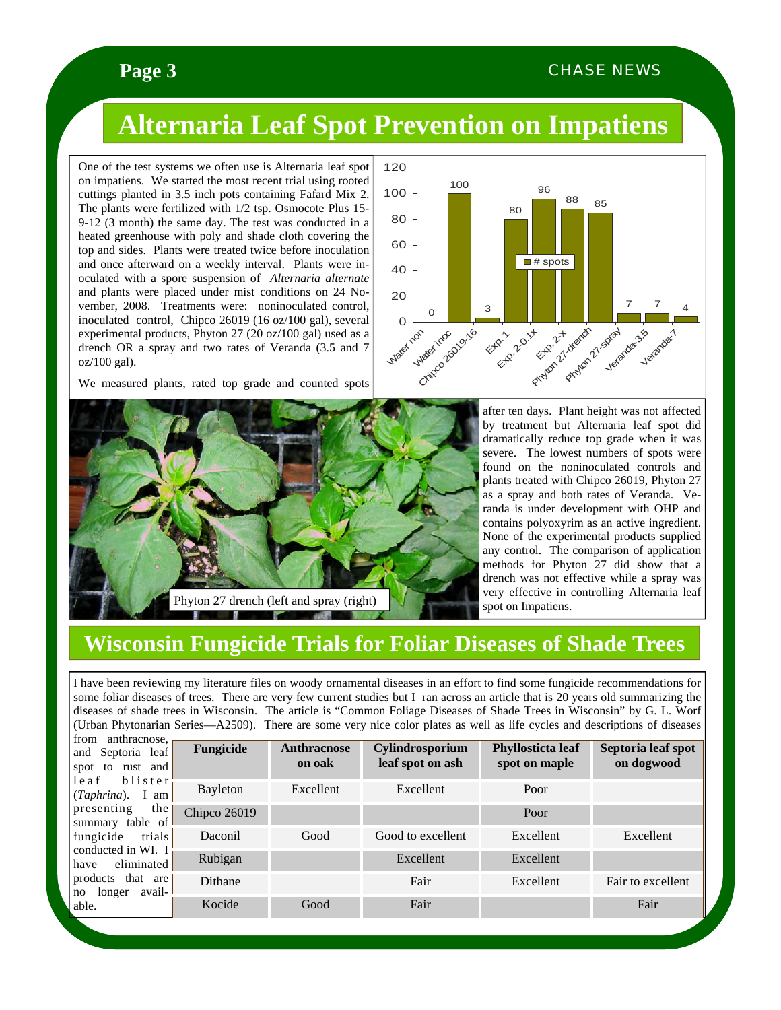### **Page 3 CHASE NEWS**

# **Alternaria Leaf Spot Prevention on Impatiens**

One of the test systems we often use is Alternaria leaf spot on impatiens. We started the most recent trial using rooted cuttings planted in 3.5 inch pots containing Fafard Mix 2. The plants were fertilized with 1/2 tsp. Osmocote Plus 15- 9-12 (3 month) the same day. The test was conducted in a heated greenhouse with poly and shade cloth covering the top and sides. Plants were treated twice before inoculation and once afterward on a weekly interval. Plants were inoculated with a spore suspension of *Alternaria alternate* and plants were placed under mist conditions on 24 November, 2008. Treatments were: noninoculated control, inoculated control, Chipco 26019 (16 oz/100 gal), several experimental products, Phyton 27 (20 oz/100 gal) used as a drench OR a spray and two rates of Veranda (3.5 and 7 oz/100 gal).

We measured plants, rated top grade and counted spots





after ten days. Plant height was not affected by treatment but Alternaria leaf spot did dramatically reduce top grade when it was severe. The lowest numbers of spots were found on the noninoculated controls and plants treated with Chipco 26019, Phyton 27 as a spray and both rates of Veranda. Veranda is under development with OHP and contains polyoxyrim as an active ingredient. None of the experimental products supplied any control. The comparison of application methods for Phyton 27 did show that a drench was not effective while a spray was very effective in controlling Alternaria leaf spot on Impatiens.

### **Wisconsin Fungicide Trials for Foliar Diseases of Shade Trees**

I have been reviewing my literature files on woody ornamental diseases in an effort to find some fungicide recommendations for some foliar diseases of trees. There are very few current studies but I ran across an article that is 20 years old summarizing the diseases of shade trees in Wisconsin. The article is "Common Foliage Diseases of Shade Trees in Wisconsin" by G. L. Worf (Urban Phytonarian Series—A2509). There are some very nice color plates as well as life cycles and descriptions of diseases

| from anthracnose,<br>and Septoria leaf<br>spot to rust and<br>blister<br>leaf | Fungicide    | <b>Anthracnose</b><br>on oak | Cylindrosporium<br>leaf spot on ash | Phyllosticta leaf<br>spot on maple | Septoria leaf spot<br>on dogwood |
|-------------------------------------------------------------------------------|--------------|------------------------------|-------------------------------------|------------------------------------|----------------------------------|
| $(Taphrina)$ . I am                                                           | Bayleton     | Excellent                    | Excellent                           | Poor                               |                                  |
| presenting<br>the<br>summary table of                                         | Chipco 26019 |                              |                                     | Poor                               |                                  |
| trials<br>fungicide                                                           | Daconil      | Good                         | Good to excellent                   | Excellent                          | Excellent                        |
| conducted in WI. I<br>eliminated<br>have                                      | Rubigan      |                              | Excellent                           | Excellent                          |                                  |
| products that are<br>avail-<br>no longer<br>able.                             | Dithane      |                              | Fair                                | Excellent                          | Fair to excellent                |
|                                                                               | Kocide       | Good                         | Fair                                |                                    | Fair                             |